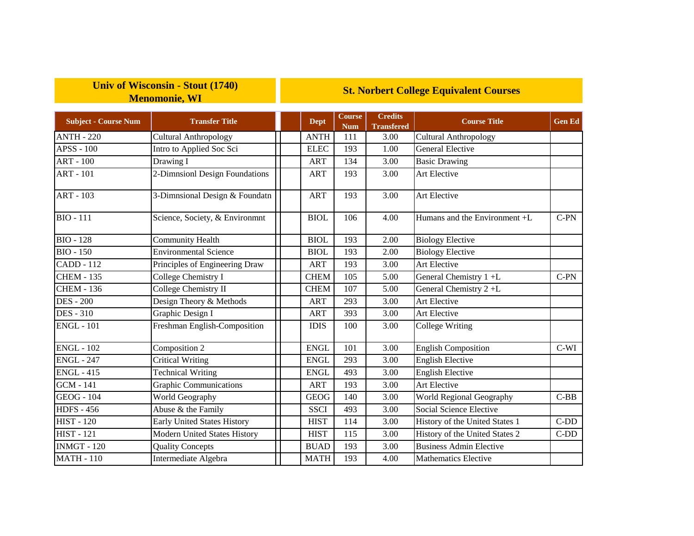## **Univ of Wisconsin - Stout (1740) Menomonie, WI**

## **St. Norbert College Equivalent Courses**

| <b>Subject - Course Num</b> | <b>Transfer Title</b>              | <b>Dept</b> | <b>Course</b><br><b>Num</b> | <b>Credits</b><br><b>Transfered</b> | <b>Course Title</b>            | <b>Gen Ed</b> |
|-----------------------------|------------------------------------|-------------|-----------------------------|-------------------------------------|--------------------------------|---------------|
| <b>ANTH - 220</b>           | <b>Cultural Anthropology</b>       | <b>ANTH</b> | 111                         | 3.00                                | <b>Cultural Anthropology</b>   |               |
| <b>APSS - 100</b>           | Intro to Applied Soc Sci           | <b>ELEC</b> | 193                         | 1.00                                | <b>General Elective</b>        |               |
| <b>ART - 100</b>            | Drawing I                          | <b>ART</b>  | 134                         | 3.00                                | <b>Basic Drawing</b>           |               |
| <b>ART - 101</b>            | 2-Dimnsionl Design Foundations     | <b>ART</b>  | 193                         | 3.00                                | Art Elective                   |               |
| <b>ART - 103</b>            | 3-Dimnsional Design & Foundatn     | <b>ART</b>  | 193                         | 3.00                                | Art Elective                   |               |
| <b>BIO</b> - 111            | Science, Society, & Environmnt     | <b>BIOL</b> | 106                         | 4.00                                | Humans and the Environment +L  | $C-PN$        |
| <b>BIO - 128</b>            | <b>Community Health</b>            | <b>BIOL</b> | 193                         | 2.00                                | <b>Biology Elective</b>        |               |
| <b>BIO - 150</b>            | <b>Environmental Science</b>       | <b>BIOL</b> | 193                         | 2.00                                | <b>Biology Elective</b>        |               |
| <b>CADD</b> - 112           | Principles of Engineering Draw     | <b>ART</b>  | 193                         | 3.00                                | Art Elective                   |               |
| <b>CHEM - 135</b>           | College Chemistry I                | <b>CHEM</b> | 105                         | 5.00                                | General Chemistry 1 +L         | C-PN          |
| <b>CHEM - 136</b>           | College Chemistry II               | <b>CHEM</b> | 107                         | 5.00                                | General Chemistry 2+L          |               |
| <b>DES</b> - 200            | Design Theory & Methods            | <b>ART</b>  | 293                         | 3.00                                | <b>Art Elective</b>            |               |
| <b>DES</b> - 310            | Graphic Design I                   | <b>ART</b>  | 393                         | 3.00                                | Art Elective                   |               |
| <b>ENGL - 101</b>           | Freshman English-Composition       | <b>IDIS</b> | 100                         | 3.00                                | <b>College Writing</b>         |               |
| <b>ENGL - 102</b>           | Composition 2                      | <b>ENGL</b> | 101                         | 3.00                                | <b>English Composition</b>     | $C-WI$        |
| <b>ENGL - 247</b>           | <b>Critical Writing</b>            | <b>ENGL</b> | 293                         | 3.00                                | <b>English Elective</b>        |               |
| <b>ENGL - 415</b>           | <b>Technical Writing</b>           | <b>ENGL</b> | 493                         | 3.00                                | <b>English Elective</b>        |               |
| <b>GCM - 141</b>            | <b>Graphic Communications</b>      | <b>ART</b>  | 193                         | 3.00                                | Art Elective                   |               |
| <b>GEOG - 104</b>           | World Geography                    | <b>GEOG</b> | 140                         | 3.00                                | World Regional Geography       | $C-BB$        |
| <b>HDFS - 456</b>           | Abuse & the Family                 | <b>SSCI</b> | 493                         | 3.00                                | Social Science Elective        |               |
| <b>HIST - 120</b>           | <b>Early United States History</b> | <b>HIST</b> | 114                         | 3.00                                | History of the United States 1 | $C-DD$        |
| <b>HIST - 121</b>           | Modern United States History       | <b>HIST</b> | 115                         | 3.00                                | History of the United States 2 | $C-DD$        |
| <b>INMGT - 120</b>          | <b>Quality Concepts</b>            | <b>BUAD</b> | 193                         | 3.00                                | <b>Business Admin Elective</b> |               |
| <b>MATH - 110</b>           | Intermediate Algebra               | <b>MATH</b> | 193                         | 4.00                                | <b>Mathematics Elective</b>    |               |